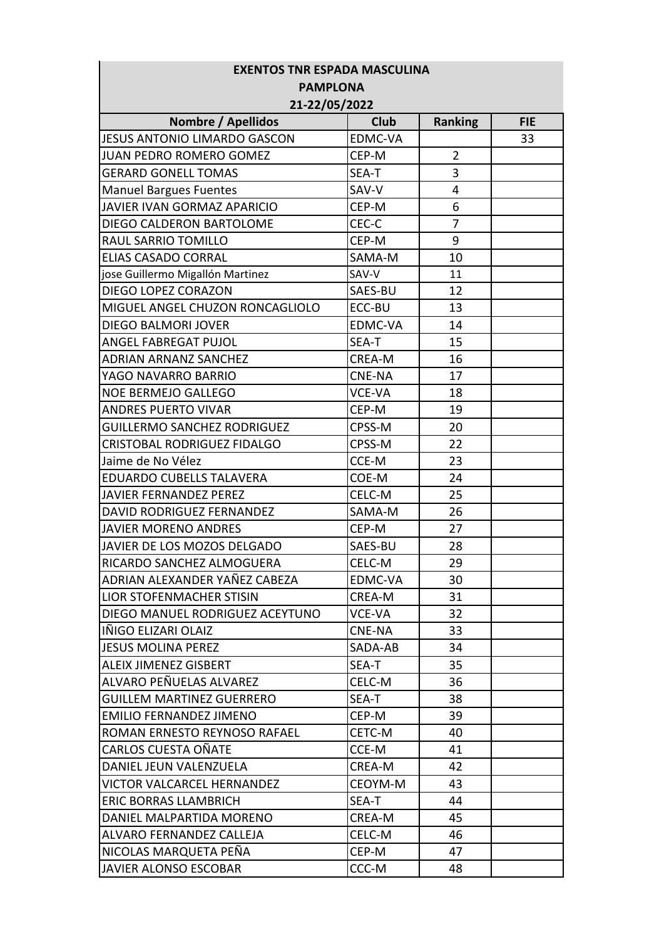| <b>EXENTOS TNR ESPADA MASCULINA</b>                         |                |                     |            |  |  |
|-------------------------------------------------------------|----------------|---------------------|------------|--|--|
| <b>PAMPLONA</b>                                             |                |                     |            |  |  |
| 21-22/05/2022                                               |                |                     |            |  |  |
| <b>Nombre / Apellidos</b>                                   | <b>Club</b>    | <b>Ranking</b>      | <b>FIE</b> |  |  |
| JESUS ANTONIO LIMARDO GASCON                                | EDMC-VA        |                     | 33         |  |  |
| JUAN PEDRO ROMERO GOMEZ                                     | CEP-M          | $\overline{2}$<br>3 |            |  |  |
| <b>GERARD GONELL TOMAS</b><br><b>Manuel Bargues Fuentes</b> | SEA-T<br>SAV-V | 4                   |            |  |  |
| JAVIER IVAN GORMAZ APARICIO                                 | CEP-M          | 6                   |            |  |  |
|                                                             | CEC-C          | $\overline{7}$      |            |  |  |
| DIEGO CALDERON BARTOLOME<br>RAUL SARRIO TOMILLO             | CEP-M          | 9                   |            |  |  |
| <b>ELIAS CASADO CORRAL</b>                                  | SAMA-M         | 10                  |            |  |  |
|                                                             | SAV-V          | 11                  |            |  |  |
| jose Guillermo Migallón Martinez<br>DIEGO LOPEZ CORAZON     | SAES-BU        | 12                  |            |  |  |
| MIGUEL ANGEL CHUZON RONCAGLIOLO                             | ECC-BU         | 13                  |            |  |  |
| DIEGO BALMORI JOVER                                         | <b>EDMC-VA</b> | 14                  |            |  |  |
| ANGEL FABREGAT PUJOL                                        | SEA-T          | 15                  |            |  |  |
|                                                             | <b>CREA-M</b>  | 16                  |            |  |  |
| <b>ADRIAN ARNANZ SANCHEZ</b>                                |                |                     |            |  |  |
| YAGO NAVARRO BARRIO                                         | <b>CNE-NA</b>  | 17                  |            |  |  |
| <b>NOE BERMEJO GALLEGO</b>                                  | <b>VCE-VA</b>  | 18                  |            |  |  |
| <b>ANDRES PUERTO VIVAR</b>                                  | CEP-M          | 19                  |            |  |  |
| <b>GUILLERMO SANCHEZ RODRIGUEZ</b>                          | CPSS-M         | 20                  |            |  |  |
| CRISTOBAL RODRIGUEZ FIDALGO                                 | CPSS-M         | 22                  |            |  |  |
| Jaime de No Vélez                                           | CCE-M          | 23                  |            |  |  |
| <b>EDUARDO CUBELLS TALAVERA</b>                             | COE-M          | 24                  |            |  |  |
| <b>JAVIER FERNANDEZ PEREZ</b>                               | CELC-M         | 25                  |            |  |  |
| DAVID RODRIGUEZ FERNANDEZ                                   | SAMA-M         | 26                  |            |  |  |
| <b>JAVIER MORENO ANDRES</b>                                 | CEP-M          | 27                  |            |  |  |
| JAVIER DE LOS MOZOS DELGADO                                 | SAES-BU        | 28                  |            |  |  |
| RICARDO SANCHEZ ALMOGUERA                                   | CELC-M         | 29                  |            |  |  |
| ADRIAN ALEXANDER YAÑEZ CABEZA                               | EDMC-VA        | 30                  |            |  |  |
| LIOR STOFENMACHER STISIN                                    | CREA-M         | 31                  |            |  |  |
| DIEGO MANUEL RODRIGUEZ ACEYTUNO                             | <b>VCE-VA</b>  | 32                  |            |  |  |
| IÑIGO ELIZARI OLAIZ                                         | <b>CNE-NA</b>  | 33                  |            |  |  |
| <b>JESUS MOLINA PEREZ</b>                                   | SADA-AB        | 34                  |            |  |  |
| <b>ALEIX JIMENEZ GISBERT</b>                                | SEA-T          | 35                  |            |  |  |
| ALVARO PEÑUELAS ALVAREZ                                     | CELC-M         | 36                  |            |  |  |
| <b>GUILLEM MARTINEZ GUERRERO</b>                            | SEA-T          | 38                  |            |  |  |
| <b>EMILIO FERNANDEZ JIMENO</b>                              | CEP-M          | 39                  |            |  |  |
| ROMAN ERNESTO REYNOSO RAFAEL                                | CETC-M         | 40                  |            |  |  |
| CARLOS CUESTA OÑATE                                         | CCE-M          | 41                  |            |  |  |
| DANIEL JEUN VALENZUELA                                      | CREA-M         | 42                  |            |  |  |
| VICTOR VALCARCEL HERNANDEZ                                  | CEOYM-M        | 43                  |            |  |  |
| <b>ERIC BORRAS LLAMBRICH</b>                                | SEA-T          | 44                  |            |  |  |
| DANIEL MALPARTIDA MORENO                                    | CREA-M         | 45                  |            |  |  |
| ALVARO FERNANDEZ CALLEJA                                    | CELC-M         | 46                  |            |  |  |
| NICOLAS MARQUETA PEÑA                                       | CEP-M          | 47                  |            |  |  |
| JAVIER ALONSO ESCOBAR                                       | CCC-M          | 48                  |            |  |  |